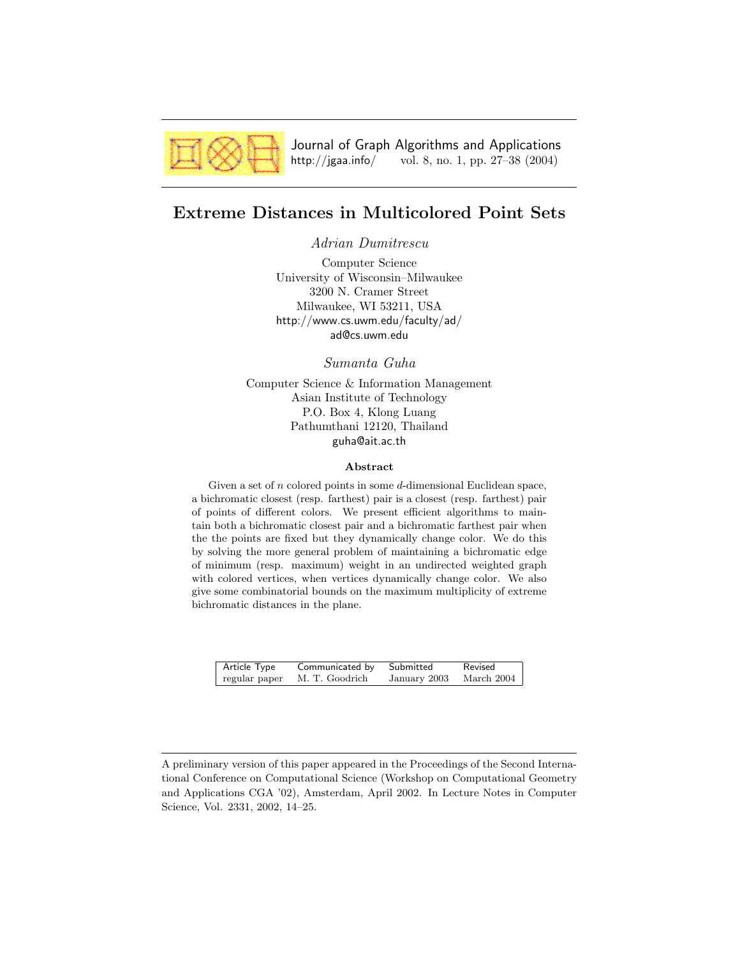

### Journal of Graph Algorithms and Applications http://jgaa.info/ vol. 8, no. 1, pp. 27–38 (2004)

# **Extreme Distances in Multicolored Point Sets**

*Adrian Dumitrescu*

Computer Science University of Wisconsin–Milwaukee 3200 N. Cramer Street Milwaukee, WI 53211, USA http://www.cs.uwm.edu/faculty/ad/ ad@cs.uwm.edu

*Sumanta Guha*

Computer Science & Information Management Asian Institute of Technology P.O. Box 4, Klong Luang Pathumthani 12120, Thailand guha@ait.ac.th

#### **Abstract**

Given a set of *n* colored points in some *d*-dimensional Euclidean space, a bichromatic closest (resp. farthest) pair is a closest (resp. farthest) pair of points of different colors. We present efficient algorithms to maintain both a bichromatic closest pair and a bichromatic farthest pair when the the points are fixed but they dynamically change color. We do this by solving the more general problem of maintaining a bichromatic edge of minimum (resp. maximum) weight in an undirected weighted graph with colored vertices, when vertices dynamically change color. We also give some combinatorial bounds on the maximum multiplicity of extreme bichromatic distances in the plane.

| Article Type  | Communicated by | Submitted    | Revised    |
|---------------|-----------------|--------------|------------|
| regular paper | M. T. Goodrich  | January 2003 | March 2004 |

A preliminary version of this paper appeared in the Proceedings of the Second International Conference on Computational Science (Workshop on Computational Geometry and Applications CGA '02), Amsterdam, April 2002. In Lecture Notes in Computer Science, Vol. 2331, 2002, 14–25.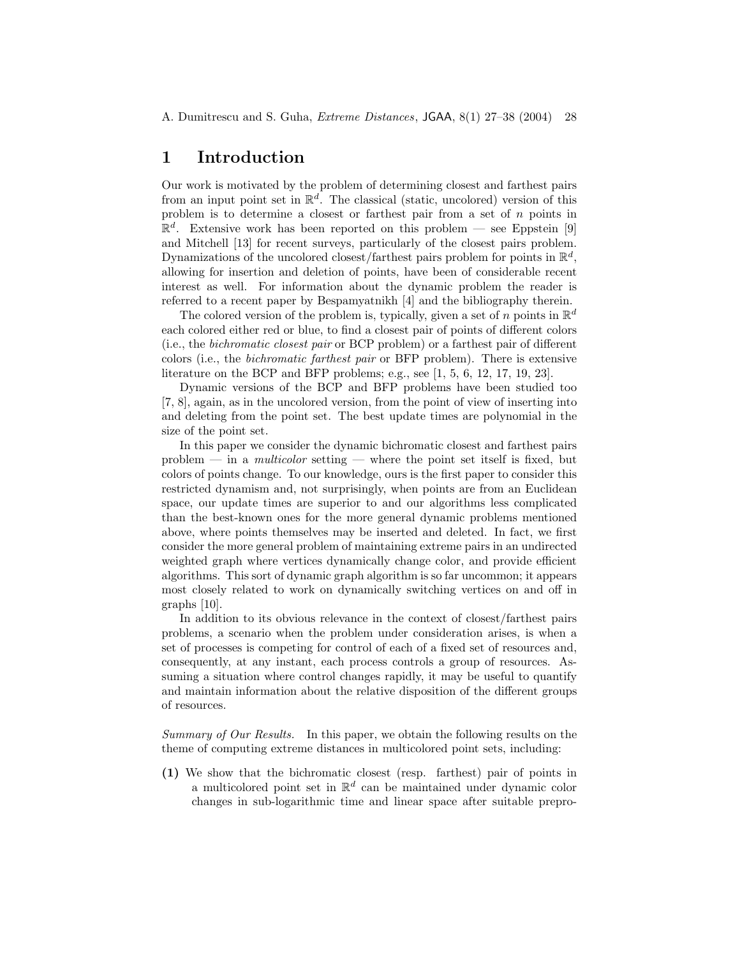## **1 Introduction**

Our work is motivated by the problem of determining closest and farthest pairs from an input point set in  $\mathbb{R}^d$ . The classical (static, uncolored) version of this problem is to determine a closest or farthest pair from a set of *n* points in  $\mathbb{R}^d$ . Extensive work has been reported on this problem — see Eppstein [9] and Mitchell [13] for recent surveys, particularly of the closest pairs problem. Dynamizations of the uncolored closest/farthest pairs problem for points in  $\mathbb{R}^d$ , allowing for insertion and deletion of points, have been of considerable recent interest as well. For information about the dynamic problem the reader is referred to a recent paper by Bespamyatnikh [4] and the bibliography therein.

The colored version of the problem is, typically, given a set of *n* points in  $\mathbb{R}^d$ each colored either red or blue, to find a closest pair of points of different colors (i.e., the *bichromatic closest pair* or BCP problem) or a farthest pair of different colors (i.e., the *bichromatic farthest pair* or BFP problem). There is extensive literature on the BCP and BFP problems; e.g., see [1, 5, 6, 12, 17, 19, 23].

Dynamic versions of the BCP and BFP problems have been studied too [7, 8], again, as in the uncolored version, from the point of view of inserting into and deleting from the point set. The best update times are polynomial in the size of the point set.

In this paper we consider the dynamic bichromatic closest and farthest pairs problem — in a *multicolor* setting — where the point set itself is fixed, but colors of points change. To our knowledge, ours is the first paper to consider this restricted dynamism and, not surprisingly, when points are from an Euclidean space, our update times are superior to and our algorithms less complicated than the best-known ones for the more general dynamic problems mentioned above, where points themselves may be inserted and deleted. In fact, we first consider the more general problem of maintaining extreme pairs in an undirected weighted graph where vertices dynamically change color, and provide efficient algorithms. This sort of dynamic graph algorithm is so far uncommon; it appears most closely related to work on dynamically switching vertices on and off in graphs [10].

In addition to its obvious relevance in the context of closest/farthest pairs problems, a scenario when the problem under consideration arises, is when a set of processes is competing for control of each of a fixed set of resources and, consequently, at any instant, each process controls a group of resources. Assuming a situation where control changes rapidly, it may be useful to quantify and maintain information about the relative disposition of the different groups of resources.

*Summary of Our Results.* In this paper, we obtain the following results on the theme of computing extreme distances in multicolored point sets, including:

**(1)** We show that the bichromatic closest (resp. farthest) pair of points in a multicolored point set in  $\mathbb{R}^d$  can be maintained under dynamic color changes in sub-logarithmic time and linear space after suitable prepro-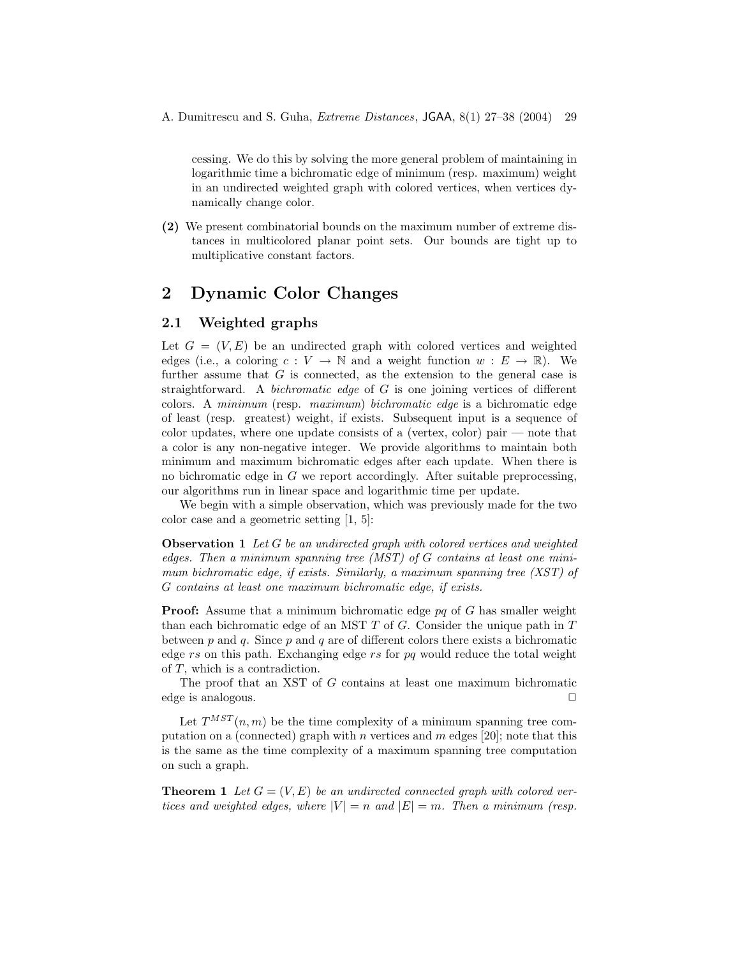cessing. We do this by solving the more general problem of maintaining in logarithmic time a bichromatic edge of minimum (resp. maximum) weight in an undirected weighted graph with colored vertices, when vertices dynamically change color.

**(2)** We present combinatorial bounds on the maximum number of extreme distances in multicolored planar point sets. Our bounds are tight up to multiplicative constant factors.

# **2 Dynamic Color Changes**

#### **2.1 Weighted graphs**

Let  $G = (V, E)$  be an undirected graph with colored vertices and weighted edges (i.e., a coloring  $c: V \to \mathbb{N}$  and a weight function  $w: E \to \mathbb{R}$ ). We further assume that *G* is connected, as the extension to the general case is straightforward. A *bichromatic edge* of *G* is one joining vertices of different colors. A *minimum* (resp. *maximum*) *bichromatic edge* is a bichromatic edge of least (resp. greatest) weight, if exists. Subsequent input is a sequence of color updates, where one update consists of a (vertex, color) pair — note that a color is any non-negative integer. We provide algorithms to maintain both minimum and maximum bichromatic edges after each update. When there is no bichromatic edge in *G* we report accordingly. After suitable preprocessing, our algorithms run in linear space and logarithmic time per update.

We begin with a simple observation, which was previously made for the two color case and a geometric setting [1, 5]:

**Observation 1** *Let G be an undirected graph with colored vertices and weighted edges. Then a minimum spanning tree (MST) of G contains at least one minimum bichromatic edge, if exists. Similarly, a maximum spanning tree (XST) of G contains at least one maximum bichromatic edge, if exists.*

**Proof:** Assume that a minimum bichromatic edge *pq* of *G* has smaller weight than each bichromatic edge of an MST *T* of *G*. Consider the unique path in *T* between *p* and *q*. Since *p* and *q* are of different colors there exists a bichromatic edge *rs* on this path. Exchanging edge *rs* for *pq* would reduce the total weight of *T*, which is a contradiction.

The proof that an XST of *G* contains at least one maximum bichromatic edge is analogous.

Let  $T^{MST}(n,m)$  be the time complexity of a minimum spanning tree computation on a (connected) graph with *n* vertices and *m* edges [20]; note that this is the same as the time complexity of a maximum spanning tree computation on such a graph.

**Theorem 1** *Let*  $G = (V, E)$  *be an undirected connected graph with colored vertices and weighted edges, where*  $|V| = n$  *and*  $|E| = m$ *. Then a minimum (resp.*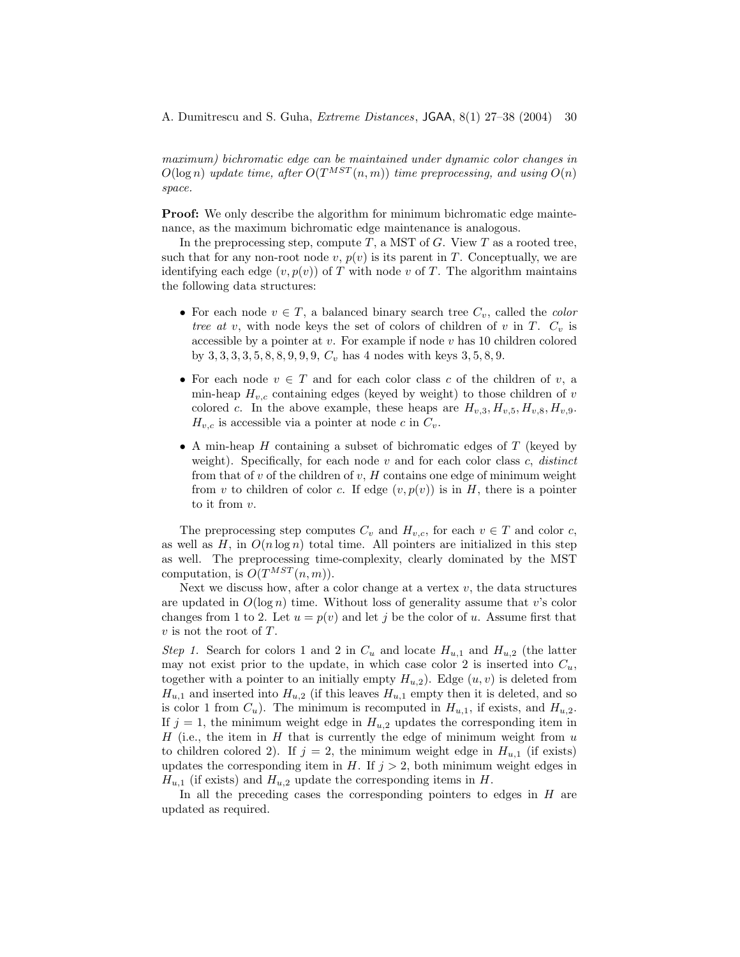*maximum) bichromatic edge can be maintained under dynamic color changes in*  $O(\log n)$  *update time, after*  $O(T^{MST}(n,m))$  *time preprocessing, and using*  $O(n)$ *space.*

**Proof:** We only describe the algorithm for minimum bichromatic edge maintenance, as the maximum bichromatic edge maintenance is analogous.

In the preprocessing step, compute *T*, a MST of *G*. View *T* as a rooted tree, such that for any non-root node  $v, p(v)$  is its parent in *T*. Conceptually, we are identifying each edge  $(v, p(v))$  of *T* with node *v* of *T*. The algorithm maintains the following data structures:

- For each node  $v \in T$ , a balanced binary search tree  $C_v$ , called the *color tree at v*, with node keys the set of colors of children of *v* in *T*.  $C_v$  is accessible by a pointer at *v*. For example if node *v* has 10 children colored by 3*,* 3*,* 3*,* 3*,* 5*,* 8*,* 8*,* 9*,* 9*,* 9, *C<sup>v</sup>* has 4 nodes with keys 3*,* 5*,* 8*,* 9.
- For each node  $v \in T$  and for each color class c of the children of v, a min-heap  $H_{v,c}$  containing edges (keyed by weight) to those children of *v* colored *c*. In the above example, these heaps are  $H_{v,3}, H_{v,5}, H_{v,8}, H_{v,9}$ .  $H_{v,c}$  is accessible via a pointer at node *c* in  $C_v$ .
- A min-heap *<sup>H</sup>* containing a subset of bichromatic edges of *<sup>T</sup>* (keyed by weight). Specifically, for each node *v* and for each color class *c*, *distinct* from that of *v* of the children of *v*, *H* contains one edge of minimum weight from *v* to children of color *c*. If edge  $(v, p(v))$  is in *H*, there is a pointer to it from *v*.

The preprocessing step computes  $C_v$  and  $H_{v,c}$ , for each  $v \in T$  and color  $c$ , as well as  $H$ , in  $O(n \log n)$  total time. All pointers are initialized in this step as well. The preprocessing time-complexity, clearly dominated by the MST computation, is  $O(T^{MST}(n, m))$ .

Next we discuss how, after a color change at a vertex *v*, the data structures are updated in  $O(\log n)$  time. Without loss of generality assume that *v*'s color changes from 1 to 2. Let  $u = p(v)$  and let *j* be the color of *u*. Assume first that *v* is not the root of *T*.

*Step 1.* Search for colors 1 and 2 in  $C_u$  and locate  $H_{u,1}$  and  $H_{u,2}$  (the latter may not exist prior to the update, in which case color 2 is inserted into  $C_u$ , together with a pointer to an initially empty  $H_{u,2}$ ). Edge  $(u, v)$  is deleted from  $H_{u,1}$  and inserted into  $H_{u,2}$  (if this leaves  $H_{u,1}$  empty then it is deleted, and so is color 1 from  $C_u$ ). The minimum is recomputed in  $H_{u,1}$ , if exists, and  $H_{u,2}$ . If  $j = 1$ , the minimum weight edge in  $H_{u,2}$  updates the corresponding item in *H* (i.e., the item in *H* that is currently the edge of minimum weight from *u* to children colored 2). If  $j = 2$ , the minimum weight edge in  $H_{u,1}$  (if exists) updates the corresponding item in  $H$ . If  $j > 2$ , both minimum weight edges in  $H_{u,1}$  (if exists) and  $H_{u,2}$  update the corresponding items in *H*.

In all the preceding cases the corresponding pointers to edges in *H* are updated as required.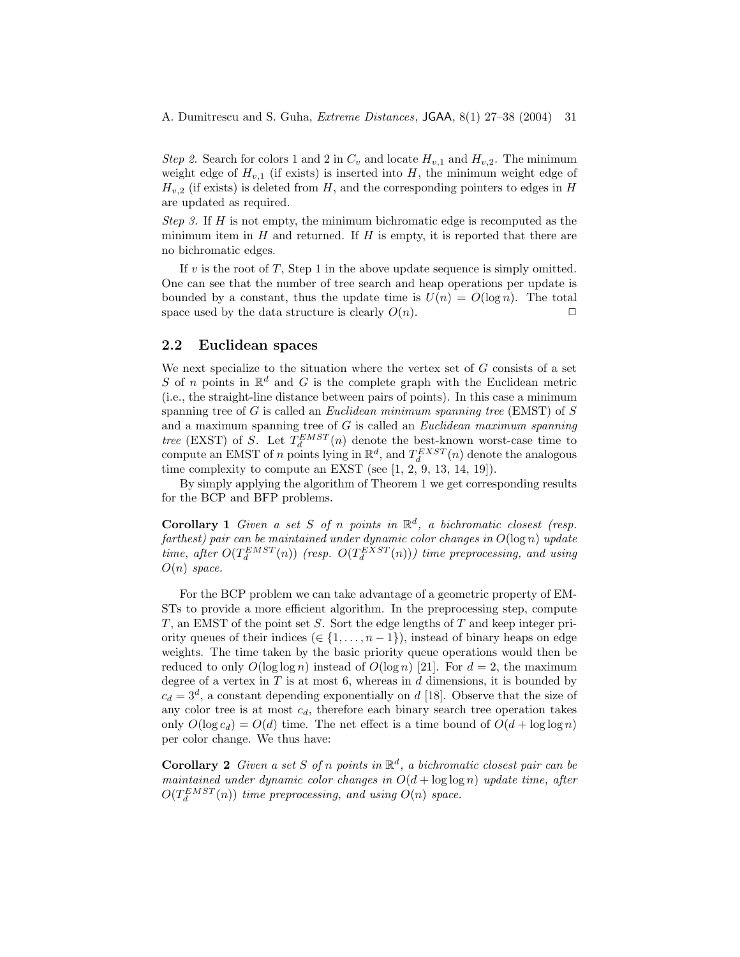*Step 2.* Search for colors 1 and 2 in  $C_v$  and locate  $H_{v,1}$  and  $H_{v,2}$ . The minimum weight edge of  $H_{v,1}$  (if exists) is inserted into  $H$ , the minimum weight edge of  $H_{v,2}$  (if exists) is deleted from *H*, and the corresponding pointers to edges in *H* are updated as required.

*Step 3.* If *H* is not empty, the minimum bichromatic edge is recomputed as the minimum item in *H* and returned. If *H* is empty, it is reported that there are no bichromatic edges.

If  $v$  is the root of  $T$ , Step 1 in the above update sequence is simply omitted. One can see that the number of tree search and heap operations per update is bounded by a constant, thus the update time is  $U(n) = O(\log n)$ . The total space used by the data structure is clearly  $O(n)$ .

#### **2.2 Euclidean spaces**

We next specialize to the situation where the vertex set of *G* consists of a set S of *n* points in  $\mathbb{R}^d$  and G is the complete graph with the Euclidean metric (i.e., the straight-line distance between pairs of points). In this case a minimum spanning tree of *G* is called an *Euclidean minimum spanning tree* (EMST) of *S* and a maximum spanning tree of *G* is called an *Euclidean maximum spanning tree* (EXST) of *S*. Let  $T_d^{EMST}(n)$  denote the best-known worst-case time to compute an EMST of *n* points lying in  $\mathbb{R}^d$ , and  $T_d^{EXST}(n)$  denote the analogous time complexity to compute an EXST (see  $[1, 2, 9, 13, 14, 19]$ ).

By simply applying the algorithm of Theorem 1 we get corresponding results for the BCP and BFP problems.

**Corollary 1** *Given a set S of n points in*  $\mathbb{R}^d$ *, a bichromatic closest (resp. farthest) pair can be maintained under dynamic color changes in O*(log *n*) *update*  $\sigma$  *time, after*  $O(T_d^{EMST}(n))$  (resp.  $O(T_d^{EXST}(n))$ ) time preprocessing, and using *O*(*n*) *space.*

For the BCP problem we can take advantage of a geometric property of EM-STs to provide a more efficient algorithm. In the preprocessing step, compute *T*, an EMST of the point set *S*. Sort the edge lengths of *T* and keep integer priority queues of their indices ( $\in \{1, \ldots, n-1\}$ ), instead of binary heaps on edge weights. The time taken by the basic priority queue operations would then be reduced to only  $O(\log \log n)$  instead of  $O(\log n)$  [21]. For  $d = 2$ , the maximum degree of a vertex in *T* is at most 6, whereas in *d* dimensions, it is bounded by  $c_d = 3^d$ , a constant depending exponentially on *d* [18]. Observe that the size of any color tree is at most  $c_d$ , therefore each binary search tree operation takes only  $O(\log c_d) = O(d)$  time. The net effect is a time bound of  $O(d + \log \log n)$ per color change. We thus have:

**Corollary 2** *Given a set S of n points* in  $\mathbb{R}^d$ *, a bichromatic closest pair can be maintained under dynamic color changes in*  $O(d + \log \log n)$  *update time, after*  $O(T_d^{EMST}(n))$  *time preprocessing, and using*  $O(n)$  *space.*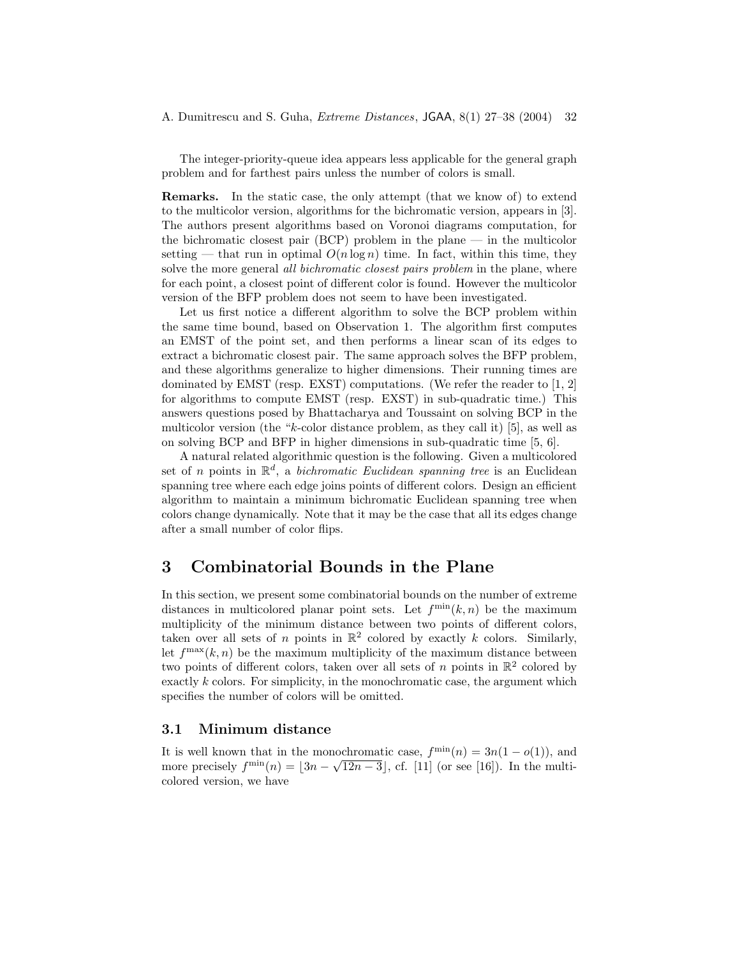The integer-priority-queue idea appears less applicable for the general graph problem and for farthest pairs unless the number of colors is small.

**Remarks.** In the static case, the only attempt (that we know of) to extend to the multicolor version, algorithms for the bichromatic version, appears in [3]. The authors present algorithms based on Voronoi diagrams computation, for the bichromatic closest pair (BCP) problem in the plane — in the multicolor setting — that run in optimal  $O(n \log n)$  time. In fact, within this time, they solve the more general *all bichromatic closest pairs problem* in the plane, where for each point, a closest point of different color is found. However the multicolor version of the BFP problem does not seem to have been investigated.

Let us first notice a different algorithm to solve the BCP problem within the same time bound, based on Observation 1. The algorithm first computes an EMST of the point set, and then performs a linear scan of its edges to extract a bichromatic closest pair. The same approach solves the BFP problem, and these algorithms generalize to higher dimensions. Their running times are dominated by EMST (resp. EXST) computations. (We refer the reader to [1, 2] for algorithms to compute EMST (resp. EXST) in sub-quadratic time.) This answers questions posed by Bhattacharya and Toussaint on solving BCP in the multicolor version (the "*k*-color distance problem, as they call it) [5], as well as on solving BCP and BFP in higher dimensions in sub-quadratic time [5, 6].

A natural related algorithmic question is the following. Given a multicolored set of *n* points in  $\mathbb{R}^d$ , a *bichromatic Euclidean spanning tree* is an Euclidean spanning tree where each edge joins points of different colors. Design an efficient algorithm to maintain a minimum bichromatic Euclidean spanning tree when colors change dynamically. Note that it may be the case that all its edges change after a small number of color flips.

# **3 Combinatorial Bounds in the Plane**

In this section, we present some combinatorial bounds on the number of extreme distances in multicolored planar point sets. Let  $f^{\min}(k, n)$  be the maximum multiplicity of the minimum distance between two points of different colors, taken over all sets of *n* points in  $\mathbb{R}^2$  colored by exactly *k* colors. Similarly, let  $f^{\max}(k, n)$  be the maximum multiplicity of the maximum distance between two points of different colors, taken over all sets of *n* points in  $\mathbb{R}^2$  colored by exactly *k* colors. For simplicity, in the monochromatic case, the argument which specifies the number of colors will be omitted.

### **3.1 Minimum distance**

It is well known that in the monochromatic case,  $f^{\min}(n)=3n(1 - o(1))$ , and more precisely  $f^{\min}(n) = |3n - \sqrt{12n - 3}|$ , cf. [11] (or see [16]). In the multicolored version, we have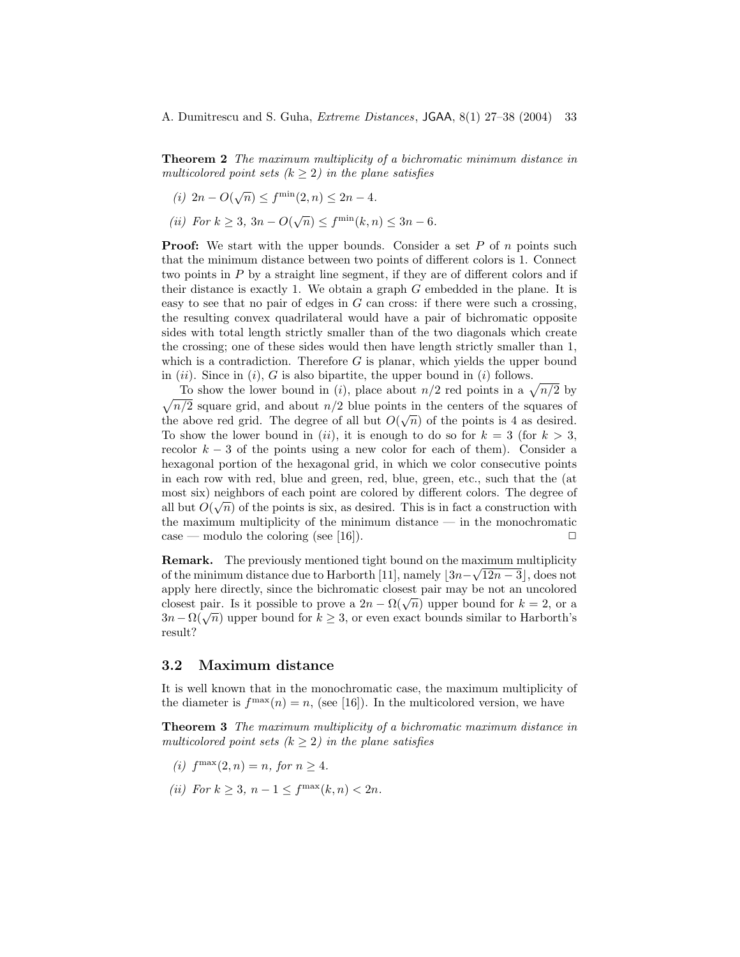**Theorem 2** *The maximum multiplicity of a bichromatic minimum distance in multicolored point sets*  $(k \geq 2)$  *in the plane satisfies* 

- $(i)$  2*n* − *O*( $\sqrt{n}$ ) ≤  $f^{\min}(2, n)$  ≤ 2*n* − 4*.*
- *(ii)* For  $k \ge 3$ ,  $3n O(\sqrt{n}) \le f^{\min}(k, n) \le 3n 6$ .

**Proof:** We start with the upper bounds. Consider a set *P* of *n* points such that the minimum distance between two points of different colors is 1. Connect two points in *P* by a straight line segment, if they are of different colors and if their distance is exactly 1. We obtain a graph *G* embedded in the plane. It is easy to see that no pair of edges in *G* can cross: if there were such a crossing, the resulting convex quadrilateral would have a pair of bichromatic opposite sides with total length strictly smaller than of the two diagonals which create the crossing; one of these sides would then have length strictly smaller than 1, which is a contradiction. Therefore  $G$  is planar, which yields the upper bound in (*ii*). Since in (*i*), *G* is also bipartite, the upper bound in (*i*) follows.

To show the lower bound in (*i*), place about  $n/2$  red points in a  $\sqrt{n/2}$  by  $\sqrt{n/2}$  square grid, and about  $n/2$  blue points in the centers of the squares of the above red grid. The degree of all but  $O(\sqrt{n})$  of the points is 4 as desired. To show the lower bound in (*ii*), it is enough to do so for  $k = 3$  (for  $k > 3$ , recolor  $k-3$  of the points using a new color for each of them). Consider a hexagonal portion of the hexagonal grid, in which we color consecutive points in each row with red, blue and green, red, blue, green, etc., such that the (at most six) neighbors of each point are colored by different colors. The degree of all but  $O(\sqrt{n})$  of the points is six, as desired. This is in fact a construction with the maximum multiplicity of the minimum distance — in the monochromatic case — modulo the coloring (see [16]).  $\Box$ 

**Remark.** The previously mentioned tight bound on the maximum multiplicity of the minimum distance due to Harborth [11], namely  $|3n-\sqrt{12n-3}|$ , does not apply here directly, since the bichromatic closest pair may be not an uncolored closest pair. Is it possible to prove a  $2n - \Omega(\sqrt{n})$  upper bound for  $k = 2$ , or a  $3n - \Omega(\sqrt{n})$  upper bound for  $k \geq 3$ , or even exact bounds similar to Harborth's result?

#### **3.2 Maximum distance**

It is well known that in the monochromatic case, the maximum multiplicity of the diameter is  $f^{\max}(n) = n$ , (see [16]). In the multicolored version, we have

**Theorem 3** *The maximum multiplicity of a bichromatic maximum distance in multicolored point sets*  $(k \geq 2)$  *in the plane satisfies* 

- *(i)*  $f^{\max}(2, n) = n$ *, for*  $n \geq 4$ *.*
- *(ii) For*  $k \geq 3$ *,*  $n 1 \leq f^{\max}(k, n) < 2n$ .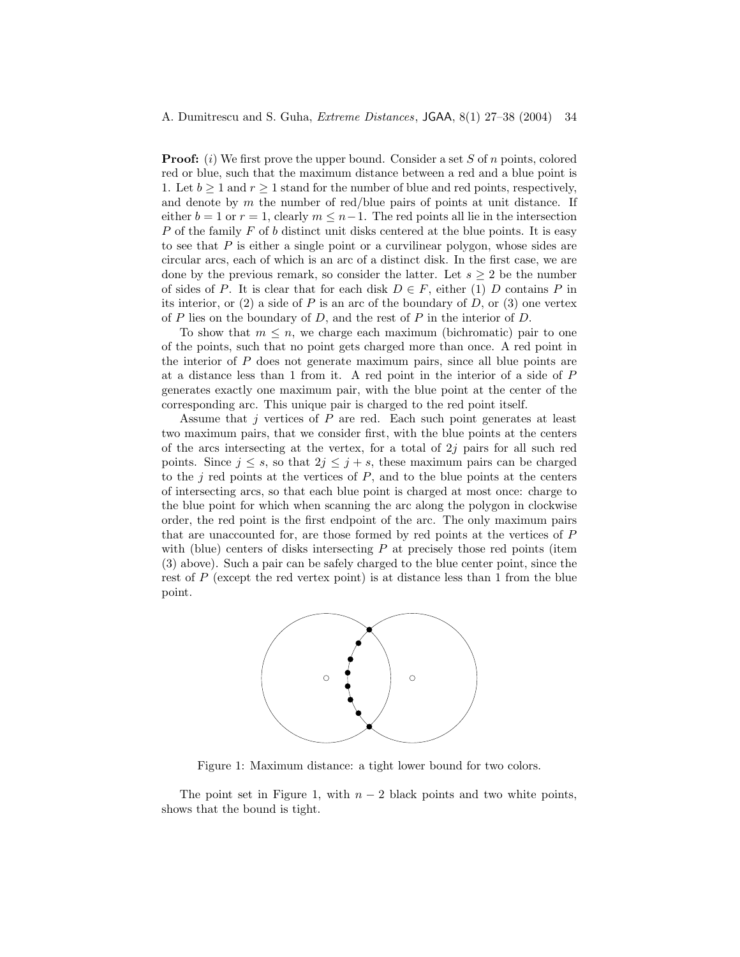**Proof:** (*i*) We first prove the upper bound. Consider a set *S* of *n* points, colored red or blue, such that the maximum distance between a red and a blue point is 1. Let  $b \ge 1$  and  $r \ge 1$  stand for the number of blue and red points, respectively, and denote by *m* the number of red/blue pairs of points at unit distance. If either  $b = 1$  or  $r = 1$ , clearly  $m \leq n-1$ . The red points all lie in the intersection *P* of the family *F* of *b* distinct unit disks centered at the blue points. It is easy to see that *P* is either a single point or a curvilinear polygon, whose sides are circular arcs, each of which is an arc of a distinct disk. In the first case, we are done by the previous remark, so consider the latter. Let  $s \geq 2$  be the number of sides of *P*. It is clear that for each disk  $D \in F$ , either (1) *D* contains *P* in its interior, or (2) a side of *P* is an arc of the boundary of *D*, or (3) one vertex of *P* lies on the boundary of *D*, and the rest of *P* in the interior of *D*.

To show that  $m \leq n$ , we charge each maximum (bichromatic) pair to one of the points, such that no point gets charged more than once. A red point in the interior of *P* does not generate maximum pairs, since all blue points are at a distance less than 1 from it. A red point in the interior of a side of *P* generates exactly one maximum pair, with the blue point at the center of the corresponding arc. This unique pair is charged to the red point itself.

Assume that *j* vertices of *P* are red. Each such point generates at least two maximum pairs, that we consider first, with the blue points at the centers of the arcs intersecting at the vertex, for a total of 2*j* pairs for all such red points. Since  $j \leq s$ , so that  $2j \leq j + s$ , these maximum pairs can be charged to the *j* red points at the vertices of *P*, and to the blue points at the centers of intersecting arcs, so that each blue point is charged at most once: charge to the blue point for which when scanning the arc along the polygon in clockwise order, the red point is the first endpoint of the arc. The only maximum pairs that are unaccounted for, are those formed by red points at the vertices of *P* with (blue) centers of disks intersecting *P* at precisely those red points (item (3) above). Such a pair can be safely charged to the blue center point, since the rest of *P* (except the red vertex point) is at distance less than 1 from the blue point.



Figure 1: Maximum distance: a tight lower bound for two colors.

The point set in Figure 1, with  $n-2$  black points and two white points, shows that the bound is tight.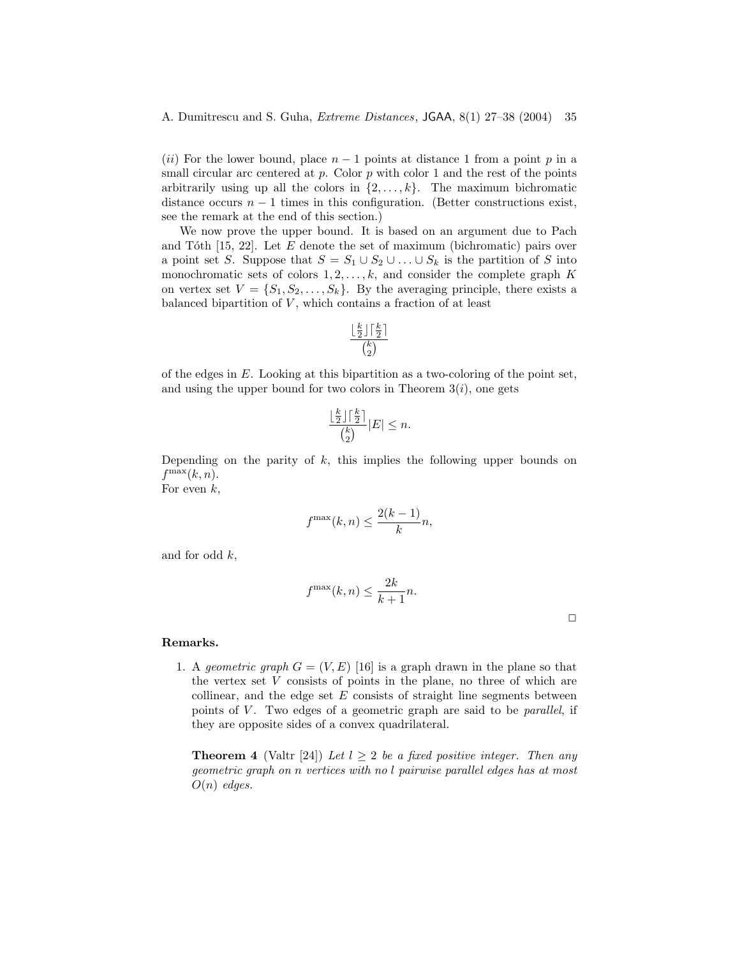(*ii*) For the lower bound, place  $n-1$  points at distance 1 from a point  $p$  in a small circular arc centered at *p*. Color *p* with color 1 and the rest of the points arbitrarily using up all the colors in  $\{2,\ldots,k\}$ . The maximum bichromatic distance occurs  $n-1$  times in this configuration. (Better constructions exist, see the remark at the end of this section.)

We now prove the upper bound. It is based on an argument due to Pach and Tóth  $[15, 22]$ . Let  $E$  denote the set of maximum (bichromatic) pairs over a point set *S*. Suppose that  $S = S_1 \cup S_2 \cup \ldots \cup S_k$  is the partition of *S* into monochromatic sets of colors 1*,* 2*,...,k*, and consider the complete graph *K* on vertex set  $V = \{S_1, S_2, \ldots, S_k\}$ . By the averaging principle, there exists a balanced bipartition of  $V$ , which contains a fraction of at least

$$
\frac{\left\lfloor\frac{k}{2}\right\rfloor\left\lceil\frac{k}{2}\right\rceil}{\binom{k}{2}}
$$

of the edges in *E*. Looking at this bipartition as a two-coloring of the point set, and using the upper bound for two colors in Theorem  $3(i)$ , one gets

$$
\frac{\lfloor\frac{k}{2}\rfloor\lceil\frac{k}{2}\rceil}{\binom{k}{2}}|E|\leq n.
$$

Depending on the parity of  $k$ , this implies the following upper bounds on *f*max(*k, n*).

For even *k*,

$$
f^{\max}(k, n) \le \frac{2(k-1)}{k}n,
$$

and for odd *k*,

$$
f^{\max}(k,n) \le \frac{2k}{k+1}n.
$$

 $\Box$ 

#### **Remarks.**

1. A *geometric graph*  $G = (V, E)$  [16] is a graph drawn in the plane so that the vertex set *V* consists of points in the plane, no three of which are collinear, and the edge set  $E$  consists of straight line segments between points of *V* . Two edges of a geometric graph are said to be *parallel*, if they are opposite sides of a convex quadrilateral.

**Theorem 4** (Valtr [24]) *Let*  $l > 2$  *be a fixed positive integer. Then any geometric graph on n vertices with no l pairwise parallel edges has at most O*(*n*) *edges.*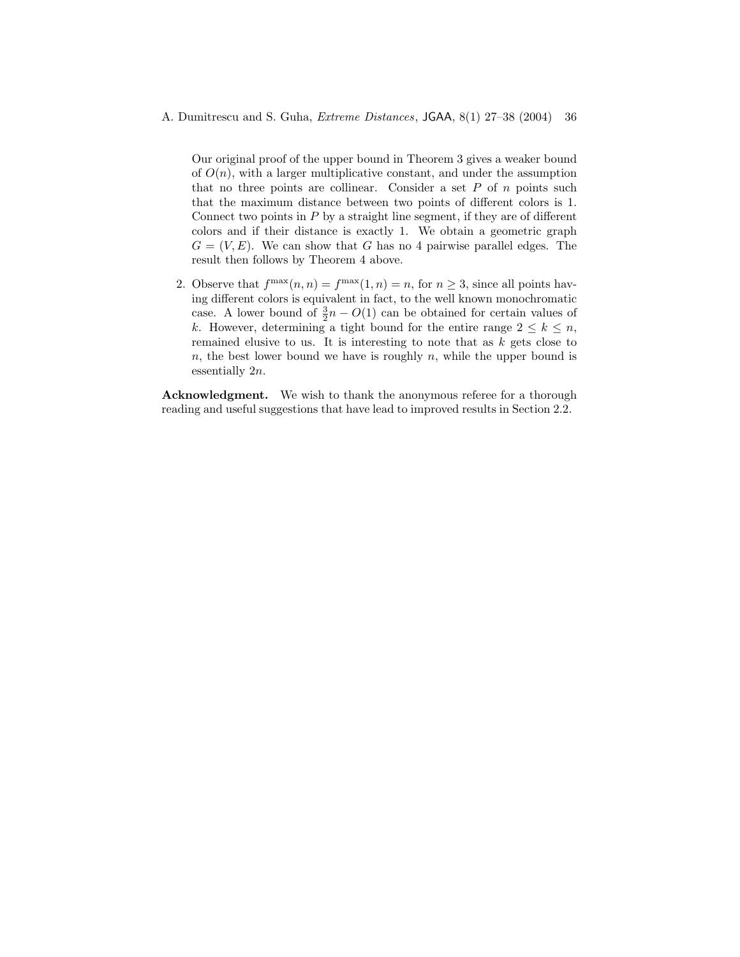Our original proof of the upper bound in Theorem 3 gives a weaker bound of  $O(n)$ , with a larger multiplicative constant, and under the assumption that no three points are collinear. Consider a set *P* of *n* points such that the maximum distance between two points of different colors is 1. Connect two points in *P* by a straight line segment, if they are of different colors and if their distance is exactly 1. We obtain a geometric graph  $G = (V, E)$ . We can show that *G* has no 4 pairwise parallel edges. The result then follows by Theorem 4 above.

2. Observe that  $f^{\max}(n, n) = f^{\max}(1, n) = n$ , for  $n \geq 3$ , since all points having different colors is equivalent in fact, to the well known monochromatic case. A lower bound of  $\frac{3}{2}n - O(1)$  can be obtained for certain values of *k*. However, determining a tight bound for the entire range  $2 \leq k \leq n$ , remained elusive to us. It is interesting to note that as *k* gets close to *n*, the best lower bound we have is roughly *n*, while the upper bound is essentially 2*n*.

**Acknowledgment.** We wish to thank the anonymous referee for a thorough reading and useful suggestions that have lead to improved results in Section 2.2.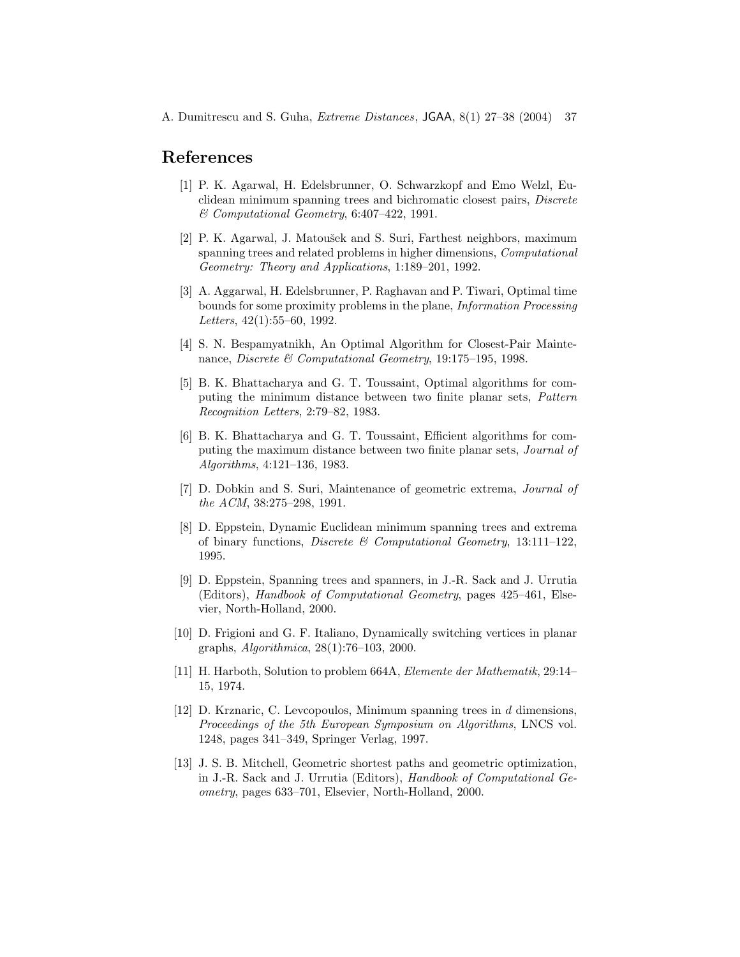### **References**

- [1] P. K. Agarwal, H. Edelsbrunner, O. Schwarzkopf and Emo Welzl, Euclidean minimum spanning trees and bichromatic closest pairs, *Discrete & Computational Geometry*, 6:407–422, 1991.
- [2] P. K. Agarwal, J. Matoušek and S. Suri, Farthest neighbors, maximum spanning trees and related problems in higher dimensions, *Computational Geometry: Theory and Applications*, 1:189–201, 1992.
- [3] A. Aggarwal, H. Edelsbrunner, P. Raghavan and P. Tiwari, Optimal time bounds for some proximity problems in the plane, *Information Processing Letters*, 42(1):55–60, 1992.
- [4] S. N. Bespamyatnikh, An Optimal Algorithm for Closest-Pair Maintenance, *Discrete & Computational Geometry*, 19:175–195, 1998.
- [5] B. K. Bhattacharya and G. T. Toussaint, Optimal algorithms for computing the minimum distance between two finite planar sets, *Pattern Recognition Letters*, 2:79–82, 1983.
- [6] B. K. Bhattacharya and G. T. Toussaint, Efficient algorithms for computing the maximum distance between two finite planar sets, *Journal of Algorithms*, 4:121–136, 1983.
- [7] D. Dobkin and S. Suri, Maintenance of geometric extrema, *Journal of the ACM*, 38:275–298, 1991.
- [8] D. Eppstein, Dynamic Euclidean minimum spanning trees and extrema of binary functions, *Discrete & Computational Geometry*, 13:111–122, 1995.
- [9] D. Eppstein, Spanning trees and spanners, in J.-R. Sack and J. Urrutia (Editors), *Handbook of Computational Geometry*, pages 425–461, Elsevier, North-Holland, 2000.
- [10] D. Frigioni and G. F. Italiano, Dynamically switching vertices in planar graphs, *Algorithmica*, 28(1):76–103, 2000.
- [11] H. Harboth, Solution to problem 664A, *Elemente der Mathematik*, 29:14– 15, 1974.
- [12] D. Krznaric, C. Levcopoulos, Minimum spanning trees in *d* dimensions, *Proceedings of the 5th European Symposium on Algorithms*, LNCS vol. 1248, pages 341–349, Springer Verlag, 1997.
- [13] J. S. B. Mitchell, Geometric shortest paths and geometric optimization, in J.-R. Sack and J. Urrutia (Editors), *Handbook of Computational Geometry*, pages 633–701, Elsevier, North-Holland, 2000.